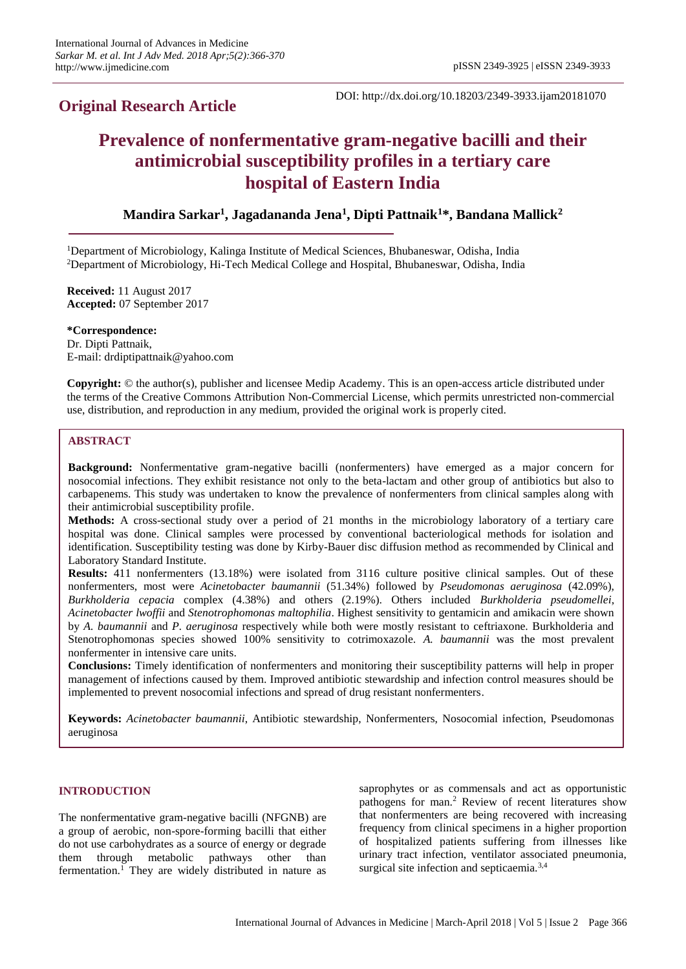# **Original Research Article**

DOI: http://dx.doi.org/10.18203/2349-3933.ijam20181070

# **Prevalence of nonfermentative gram-negative bacilli and their antimicrobial susceptibility profiles in a tertiary care hospital of Eastern India**

**Mandira Sarkar<sup>1</sup> , Jagadananda Jena<sup>1</sup> , Dipti Pattnaik<sup>1</sup>\*, Bandana Mallick<sup>2</sup>**

<sup>1</sup>Department of Microbiology, Kalinga Institute of Medical Sciences, Bhubaneswar, Odisha, India <sup>2</sup>Department of Microbiology, Hi-Tech Medical College and Hospital, Bhubaneswar, Odisha, India

**Received:** 11 August 2017 **Accepted:** 07 September 2017

**\*Correspondence:** Dr. Dipti Pattnaik, E-mail: drdiptipattnaik@yahoo.com

**Copyright:** © the author(s), publisher and licensee Medip Academy. This is an open-access article distributed under the terms of the Creative Commons Attribution Non-Commercial License, which permits unrestricted non-commercial use, distribution, and reproduction in any medium, provided the original work is properly cited.

## **ABSTRACT**

**Background:** Nonfermentative gram-negative bacilli (nonfermenters) have emerged as a major concern for nosocomial infections. They exhibit resistance not only to the beta-lactam and other group of antibiotics but also to carbapenems. This study was undertaken to know the prevalence of nonfermenters from clinical samples along with their antimicrobial susceptibility profile.

**Methods:** A cross-sectional study over a period of 21 months in the microbiology laboratory of a tertiary care hospital was done. Clinical samples were processed by conventional bacteriological methods for isolation and identification. Susceptibility testing was done by Kirby-Bauer disc diffusion method as recommended by Clinical and Laboratory Standard Institute.

**Results:** 411 nonfermenters (13.18%) were isolated from 3116 culture positive clinical samples. Out of these nonfermenters, most were *Acinetobacter baumannii* (51.34%) followed by *Pseudomonas aeruginosa* (42.09%), *Burkholderia cepacia* complex (4.38%) and others (2.19%). Others included *Burkholderia pseudomellei*, *Acinetobacter lwoffii* and *Stenotrophomonas maltophilia*. Highest sensitivity to gentamicin and amikacin were shown by *A. baumannii* and *P. aeruginosa* respectively while both were mostly resistant to ceftriaxone. Burkholderia and Stenotrophomonas species showed 100% sensitivity to cotrimoxazole. *A. baumannii* was the most prevalent nonfermenter in intensive care units.

**Conclusions:** Timely identification of nonfermenters and monitoring their susceptibility patterns will help in proper management of infections caused by them. Improved antibiotic stewardship and infection control measures should be implemented to prevent nosocomial infections and spread of drug resistant nonfermenters.

**Keywords:** *Acinetobacter baumannii*, Antibiotic stewardship, Nonfermenters, Nosocomial infection, Pseudomonas aeruginosa

### **INTRODUCTION**

The nonfermentative gram-negative bacilli (NFGNB) are a group of aerobic, non-spore-forming bacilli that either do not use carbohydrates as a source of energy or degrade them through metabolic pathways other than fermentation.<sup>1</sup> They are widely distributed in nature as saprophytes or as commensals and act as opportunistic pathogens for man.<sup>2</sup> Review of recent literatures show that nonfermenters are being recovered with increasing frequency from clinical specimens in a higher proportion of hospitalized patients suffering from illnesses like urinary tract infection, ventilator associated pneumonia, surgical site infection and septicaemia.<sup>3,4</sup>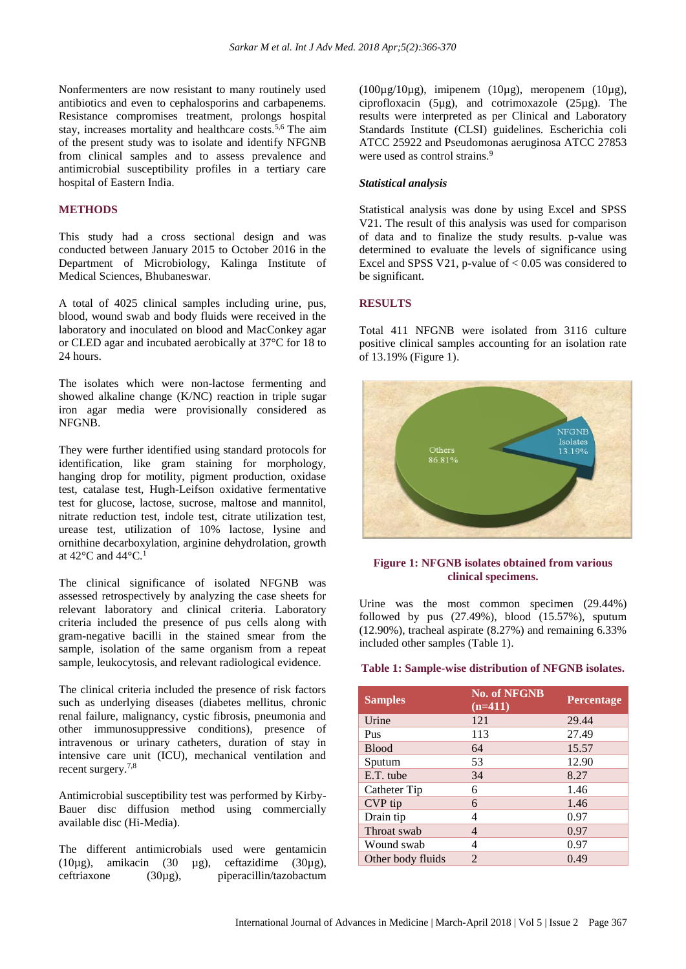Nonfermenters are now resistant to many routinely used antibiotics and even to cephalosporins and carbapenems. Resistance compromises treatment, prolongs hospital stay, increases mortality and healthcare costs.<sup>5,6</sup> The aim of the present study was to isolate and identify NFGNB from clinical samples and to assess prevalence and antimicrobial susceptibility profiles in a tertiary care hospital of Eastern India.

#### **METHODS**

This study had a cross sectional design and was conducted between January 2015 to October 2016 in the Department of Microbiology, Kalinga Institute of Medical Sciences, Bhubaneswar.

A total of 4025 clinical samples including urine, pus, blood, wound swab and body fluids were received in the laboratory and inoculated on blood and MacConkey agar or CLED agar and incubated aerobically at 37°C for 18 to 24 hours.

The isolates which were non-lactose fermenting and showed alkaline change (K/NC) reaction in triple sugar iron agar media were provisionally considered as NFGNB.

They were further identified using standard protocols for identification, like gram staining for morphology, hanging drop for motility, pigment production, oxidase test, catalase test, Hugh-Leifson oxidative fermentative test for glucose, lactose, sucrose, maltose and mannitol, nitrate reduction test, indole test, citrate utilization test, urease test, utilization of 10% lactose, lysine and ornithine decarboxylation, arginine dehydrolation, growth at 42 $\rm{^{\circ}C}$  and 44 $\rm{^{\circ}C}.^1$ 

The clinical significance of isolated NFGNB was assessed retrospectively by analyzing the case sheets for relevant laboratory and clinical criteria. Laboratory criteria included the presence of pus cells along with gram-negative bacilli in the stained smear from the sample, isolation of the same organism from a repeat sample, leukocytosis, and relevant radiological evidence.

The clinical criteria included the presence of risk factors such as underlying diseases (diabetes mellitus, chronic renal failure, malignancy, cystic fibrosis, pneumonia and other immunosuppressive conditions), presence of intravenous or urinary catheters, duration of stay in intensive care unit (ICU), mechanical ventilation and recent surgery.7,8

Antimicrobial susceptibility test was performed by Kirby-Bauer disc diffusion method using commercially available disc (Hi-Media).

The different antimicrobials used were gentamicin (10 $\mu$ g), amikacin (30  $\mu$ g), ceftazidime (30 $\mu$ g), ceftriaxone (30µg), piperacillin/tazobactum ( $100\mu$ g/10 $\mu$ g), imipenem ( $10\mu$ g), meropenem ( $10\mu$ g), ciprofloxacin (5µg), and cotrimoxazole (25µg). The results were interpreted as per Clinical and Laboratory Standards Institute (CLSI) guidelines. Escherichia coli ATCC 25922 and Pseudomonas aeruginosa ATCC 27853 were used as control strains.<sup>9</sup>

#### *Statistical analysis*

Statistical analysis was done by using Excel and SPSS V21. The result of this analysis was used for comparison of data and to finalize the study results. p-value was determined to evaluate the levels of significance using Excel and SPSS V21, p-value of  $< 0.05$  was considered to be significant.

#### **RESULTS**

Total 411 NFGNB were isolated from 3116 culture positive clinical samples accounting for an isolation rate of 13.19% (Figure 1).



#### **Figure 1: NFGNB isolates obtained from various clinical specimens.**

Urine was the most common specimen (29.44%) followed by pus  $(27.49\%)$ , blood  $(15.57\%)$ , sputum (12.90%), tracheal aspirate (8.27%) and remaining 6.33% included other samples (Table 1).

#### **Table 1: Sample-wise distribution of NFGNB isolates.**

| <b>Samples</b>    | <b>No. of NFGNB</b><br>$(n=411)$ | <b>Percentage</b> |
|-------------------|----------------------------------|-------------------|
| Urine             | 121                              | 29.44             |
| Pus               | 113                              | 27.49             |
| <b>Blood</b>      | 64                               | 15.57             |
| Sputum            | 53                               | 12.90             |
| E.T. tube         | 34                               | 8.27              |
| Catheter Tip      | 6                                | 1.46              |
| CVP tip           | 6                                | 1.46              |
| Drain tip         | 4                                | 0.97              |
| Throat swab       | 4                                | 0.97              |
| Wound swab        | 4                                | 0.97              |
| Other body fluids | $\overline{2}$                   | 0.49              |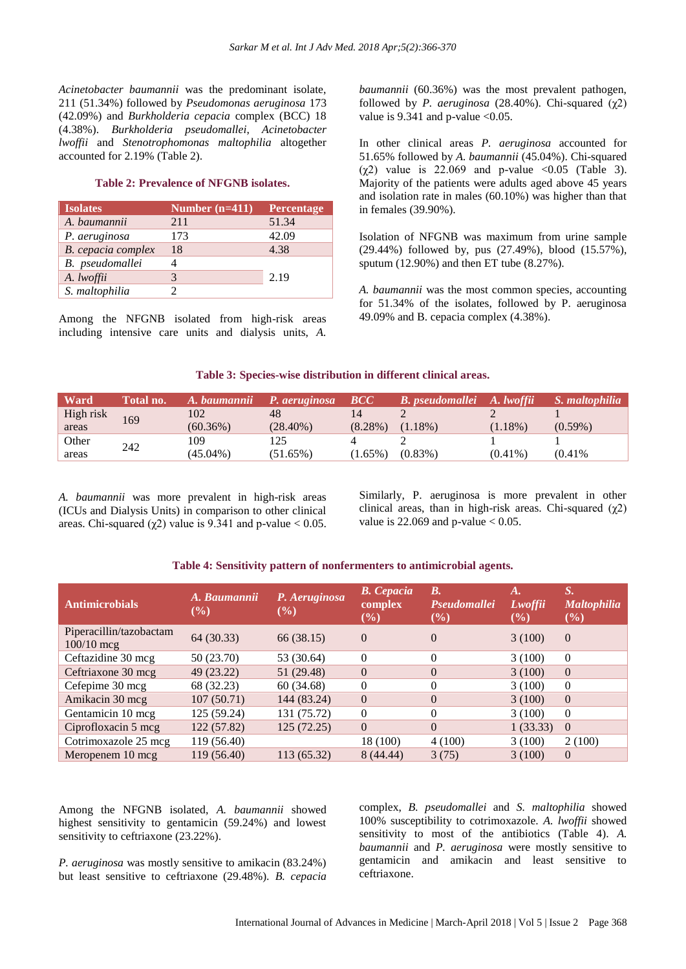*Acinetobacter baumannii* was the predominant isolate, 211 (51.34%) followed by *Pseudomonas aeruginosa* 173 (42.09%) and *Burkholderia cepacia* complex (BCC) 18 (4.38%). *Burkholderia pseudomallei*, *Acinetobacter lwoffii* and *Stenotrophomonas maltophilia* altogether accounted for 2.19% (Table 2).

#### **Table 2: Prevalence of NFGNB isolates.**

| <b>Isolates</b>    | Number $(n=411)$ | Percentage |
|--------------------|------------------|------------|
| A. baumannii       | 211              | 51.34      |
| P. aeruginosa      | 173              | 42.09      |
| B. cepacia complex | 18               | 4.38       |
| B. pseudomallei    |                  |            |
| A. lwoffii         |                  | 2.19       |
| S. maltophilia     |                  |            |

Among the NFGNB isolated from high-risk areas including intensive care units and dialysis units, *A.* 

*baumannii* (60.36%) was the most prevalent pathogen, followed by *P. aeruginosa* (28.40%). Chi-squared (χ2) value is 9.341 and p-value  $< 0.05$ .

In other clinical areas *P. aeruginosa* accounted for 51.65% followed by *A. baumannii* (45.04%). Chi-squared (χ2) value is 22.069 and p-value <0.05 (Table 3). Majority of the patients were adults aged above 45 years and isolation rate in males (60.10%) was higher than that in females (39.90%).

Isolation of NFGNB was maximum from urine sample (29.44%) followed by, pus (27.49%), blood (15.57%), sputum (12.90%) and then ET tube (8.27%).

*A. baumannii* was the most common species, accounting for 51.34% of the isolates, followed by P. aeruginosa 49.09% and B. cepacia complex (4.38%).

#### **Table 3: Species-wise distribution in different clinical areas.**

| <b>Ward</b> | Total no. | A. baumannii | P. aeruginosa | $\bm{BCC}$ | <b>B.</b> pseudomallei A. lwoffii |            | S. maltophilia |
|-------------|-----------|--------------|---------------|------------|-----------------------------------|------------|----------------|
| High risk   | 169       | 102          | 48            |            |                                   |            |                |
| areas       |           | $(60.36\%)$  | $(28.40\%)$   | $(8.28\%)$ | $(1.18\%)$                        | $(1.18\%)$ | $(0.59\%)$     |
| Other       | 242       | 109          |               |            |                                   |            |                |
| areas       |           | $(45.04\%)$  | $(51.65\%)$   | $(1.65\%)$ | $(0.83\%)$                        | $(0.41\%)$ | (0.41%         |

*A. baumannii* was more prevalent in high-risk areas (ICUs and Dialysis Units) in comparison to other clinical areas. Chi-squared ( $\gamma$ 2) value is 9.341 and p-value  $< 0.05$ . Similarly, P. aeruginosa is more prevalent in other clinical areas, than in high-risk areas. Chi-squared  $(\chi^2)$ value is  $22.069$  and p-value  $< 0.05$ .

#### **Table 4: Sensitivity pattern of nonfermenters to antimicrobial agents.**

| <b>Antimicrobials</b>                   | A. Baumannii<br>$\left( \frac{9}{6} \right)$ | P. Aeruginosa<br>$(\%)$ | <b>B.</b> Cepacia<br>complex<br>$($ %) | $\boldsymbol{B}$ .<br>Pseudomallei<br>$(\%)$ | $\bm{A}$ .<br>Lwoffii<br>$(\%)$ | S.<br><b>Maltophilia</b><br>$(\%)$ |
|-----------------------------------------|----------------------------------------------|-------------------------|----------------------------------------|----------------------------------------------|---------------------------------|------------------------------------|
| Piperacillin/tazobactam<br>$100/10$ mcg | 64 (30.33)                                   | 66 (38.15)              | $\Omega$                               | $\Omega$                                     | 3(100)                          | $\Omega$                           |
| Ceftazidine 30 mcg                      | 50 (23.70)                                   | 53 (30.64)              | $\Omega$                               | $\Omega$                                     | 3(100)                          | $\Omega$                           |
| Ceftriaxone 30 mcg                      | 49 (23.22)                                   | 51 (29.48)              | $\theta$                               | $\Omega$                                     | 3(100)                          | $\theta$                           |
| Cefepime 30 mcg                         | 68 (32.23)                                   | 60(34.68)               | $\Omega$                               | $\theta$                                     | 3(100)                          | $\theta$                           |
| Amikacin 30 mcg                         | 107(50.71)                                   | 144 (83.24)             | $\theta$                               | $\Omega$                                     | 3(100)                          | $\Omega$                           |
| Gentamicin 10 mcg                       | 125 (59.24)                                  | 131 (75.72)             | $\Omega$                               | $\Omega$                                     | 3(100)                          | $\Omega$                           |
| Ciprofloxacin 5 mcg                     | 122 (57.82)                                  | 125(72.25)              | $\Omega$                               | $\Omega$                                     | 1(33.33)                        | $\Omega$                           |
| Cotrimoxazole 25 mcg                    | 119 (56.40)                                  |                         | 18 (100)                               | 4(100)                                       | 3(100)                          | 2(100)                             |
| Meropenem 10 mcg                        | 119 (56.40)                                  | 113 (65.32)             | 8(44.44)                               | 3(75)                                        | 3(100)                          | $\Omega$                           |

Among the NFGNB isolated, *A. baumannii* showed highest sensitivity to gentamicin (59.24%) and lowest sensitivity to ceftriaxone (23.22%).

*P. aeruginosa* was mostly sensitive to amikacin (83.24%) but least sensitive to ceftriaxone (29.48%). *B. cepacia* complex, *B. pseudomallei* and *S. maltophilia* showed 100% susceptibility to cotrimoxazole. *A. lwoffii* showed sensitivity to most of the antibiotics (Table 4). *A. baumannii* and *P. aeruginosa* were mostly sensitive to gentamicin and amikacin and least sensitive to ceftriaxone.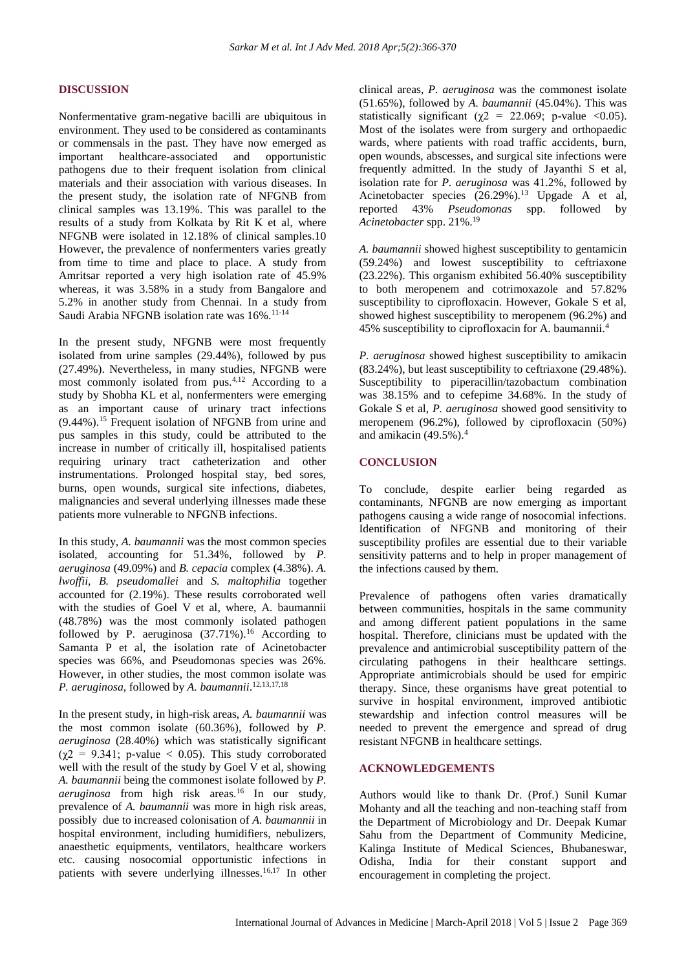#### **DISCUSSION**

Nonfermentative gram-negative bacilli are ubiquitous in environment. They used to be considered as contaminants or commensals in the past. They have now emerged as important healthcare-associated and opportunistic pathogens due to their frequent isolation from clinical materials and their association with various diseases. In the present study, the isolation rate of NFGNB from clinical samples was 13.19%. This was parallel to the results of a study from Kolkata by Rit K et al, where NFGNB were isolated in 12.18% of clinical samples.10 However, the prevalence of nonfermenters varies greatly from time to time and place to place. A study from Amritsar reported a very high isolation rate of 45.9% whereas, it was 3.58% in a study from Bangalore and 5.2% in another study from Chennai. In a study from Saudi Arabia NFGNB isolation rate was 16%.<sup>11-14</sup>

In the present study, NFGNB were most frequently isolated from urine samples (29.44%), followed by pus (27.49%). Nevertheless, in many studies, NFGNB were most commonly isolated from pus.4,12 According to a study by Shobha KL et al, nonfermenters were emerging as an important cause of urinary tract infections  $(9.44\%)$ .<sup>15</sup> Frequent isolation of NFGNB from urine and pus samples in this study, could be attributed to the increase in number of critically ill, hospitalised patients requiring urinary tract catheterization and other instrumentations. Prolonged hospital stay, bed sores, burns, open wounds, surgical site infections, diabetes, malignancies and several underlying illnesses made these patients more vulnerable to NFGNB infections.

In this study, *A. baumannii* was the most common species isolated, accounting for 51.34%, followed by *P. aeruginosa* (49.09%) and *B. cepacia* complex (4.38%). *A. lwoffii*, *B. pseudomallei* and *S. maltophilia* together accounted for (2.19%). These results corroborated well with the studies of Goel V et al, where, A. baumannii (48.78%) was the most commonly isolated pathogen followed by P. aeruginosa  $(37.71\%)$ .<sup>16</sup> According to Samanta P et al, the isolation rate of Acinetobacter species was 66%, and Pseudomonas species was 26%. However, in other studies, the most common isolate was *P. aeruginosa*, followed by *A. baumannii*. 12,13,17,18

In the present study, in high-risk areas, *A. baumannii* was the most common isolate (60.36%), followed by *P. aeruginosa* (28.40%) which was statistically significant  $(\chi^2 = 9.341; \text{ p-value} < 0.05)$ . This study corroborated well with the result of the study by Goel V et al, showing *A. baumannii* being the commonest isolate followed by *P. aeruginosa* from high risk areas.<sup>16</sup> In our study, prevalence of *A. baumannii* was more in high risk areas, possibly due to increased colonisation of *A. baumannii* in hospital environment, including humidifiers, nebulizers, anaesthetic equipments, ventilators, healthcare workers etc. causing nosocomial opportunistic infections in patients with severe underlying illnesses.<sup>16,17</sup> In other clinical areas, *P. aeruginosa* was the commonest isolate (51.65%), followed by *A. baumannii* (45.04%). This was statistically significant ( $\chi$ 2 = 22.069; p-value <0.05). Most of the isolates were from surgery and orthopaedic wards, where patients with road traffic accidents, burn, open wounds, abscesses, and surgical site infections were frequently admitted. In the study of Jayanthi S et al, isolation rate for *P. aeruginosa* was 41.2%, followed by Acinetobacter species (26.29%).<sup>13</sup> Upgade A et al, reported 43% *Pseudomonas* spp. followed by *Acinetobacter* spp. 21%.<sup>19</sup>

*A. baumannii* showed highest susceptibility to gentamicin (59.24%) and lowest susceptibility to ceftriaxone (23.22%). This organism exhibited 56.40% susceptibility to both meropenem and cotrimoxazole and 57.82% susceptibility to ciprofloxacin. However, Gokale S et al, showed highest susceptibility to meropenem (96.2%) and 45% susceptibility to ciprofloxacin for A. baumannii.<sup>4</sup>

*P. aeruginosa* showed highest susceptibility to amikacin (83.24%), but least susceptibility to ceftriaxone (29.48%). Susceptibility to piperacillin/tazobactum combination was 38.15% and to cefepime 34.68%. In the study of Gokale S et al, *P. aeruginosa* showed good sensitivity to meropenem (96.2%), followed by ciprofloxacin (50%) and amikacin  $(49.5\%)$ .<sup>4</sup>

#### **CONCLUSION**

To conclude, despite earlier being regarded as contaminants, NFGNB are now emerging as important pathogens causing a wide range of nosocomial infections. Identification of NFGNB and monitoring of their susceptibility profiles are essential due to their variable sensitivity patterns and to help in proper management of the infections caused by them.

Prevalence of pathogens often varies dramatically between communities, hospitals in the same community and among different patient populations in the same hospital. Therefore, clinicians must be updated with the prevalence and antimicrobial susceptibility pattern of the circulating pathogens in their healthcare settings. Appropriate antimicrobials should be used for empiric therapy. Since, these organisms have great potential to survive in hospital environment, improved antibiotic stewardship and infection control measures will be needed to prevent the emergence and spread of drug resistant NFGNB in healthcare settings.

#### **ACKNOWLEDGEMENTS**

Authors would like to thank Dr. (Prof.) Sunil Kumar Mohanty and all the teaching and non-teaching staff from the Department of Microbiology and Dr. Deepak Kumar Sahu from the Department of Community Medicine, Kalinga Institute of Medical Sciences, Bhubaneswar, Odisha, India for their constant support and encouragement in completing the project.